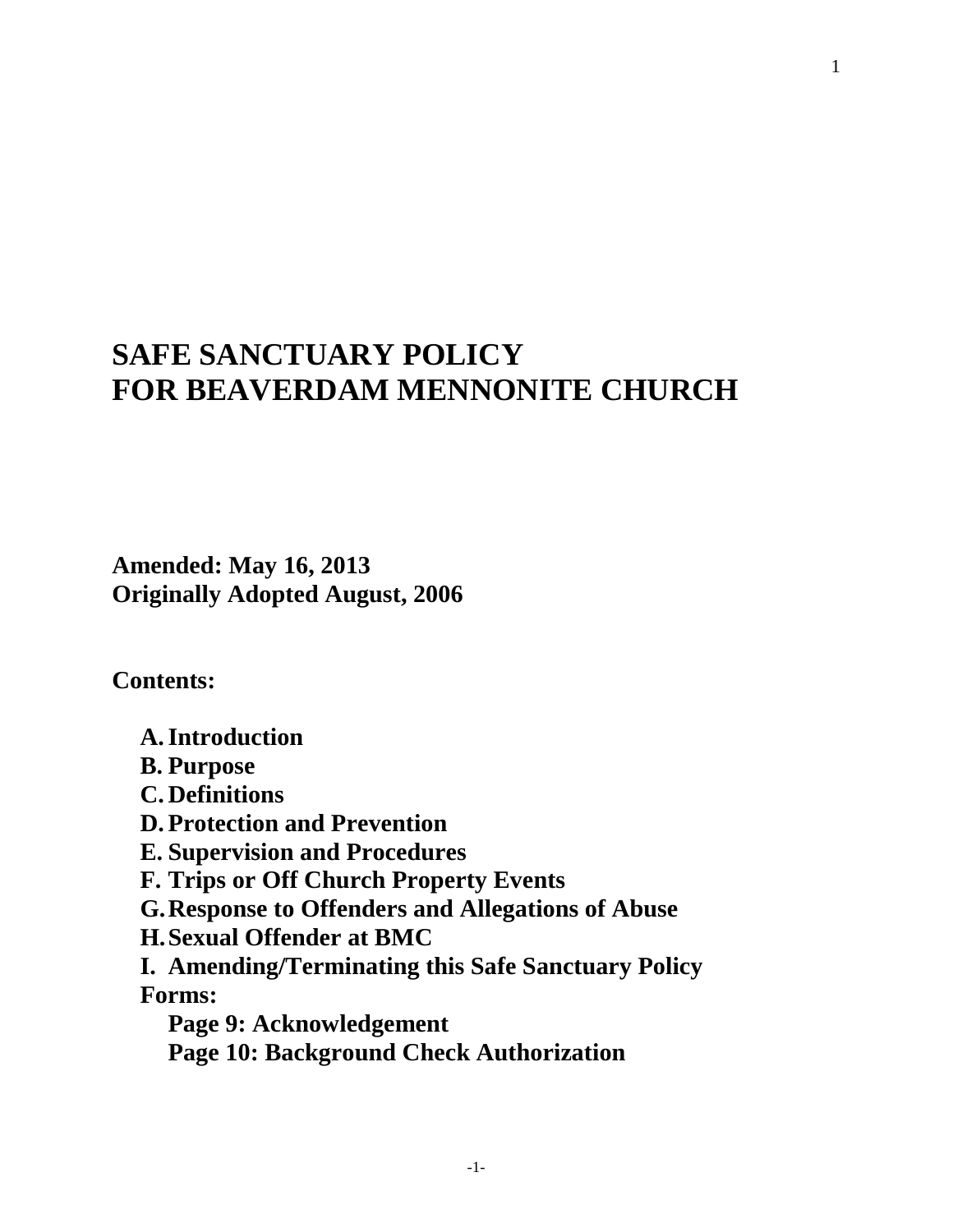# **SAFE SANCTUARY POLICY FOR BEAVERDAM MENNONITE CHURCH**

**Amended: May 16, 2013 Originally Adopted August, 2006**

**Contents:**

**A.Introduction**

- **B. Purpose**
- **C. Definitions**
- **D. Protection and Prevention**
- **E. Supervision and Procedures**
- **F. Trips or Off Church Property Events**
- **G.Response to Offenders and Allegations of Abuse**
- **H.Sexual Offender at BMC**
- **I. Amending/Terminating this Safe Sanctuary Policy Forms:** 
	- **Page 9: Acknowledgement Page 10: Background Check Authorization**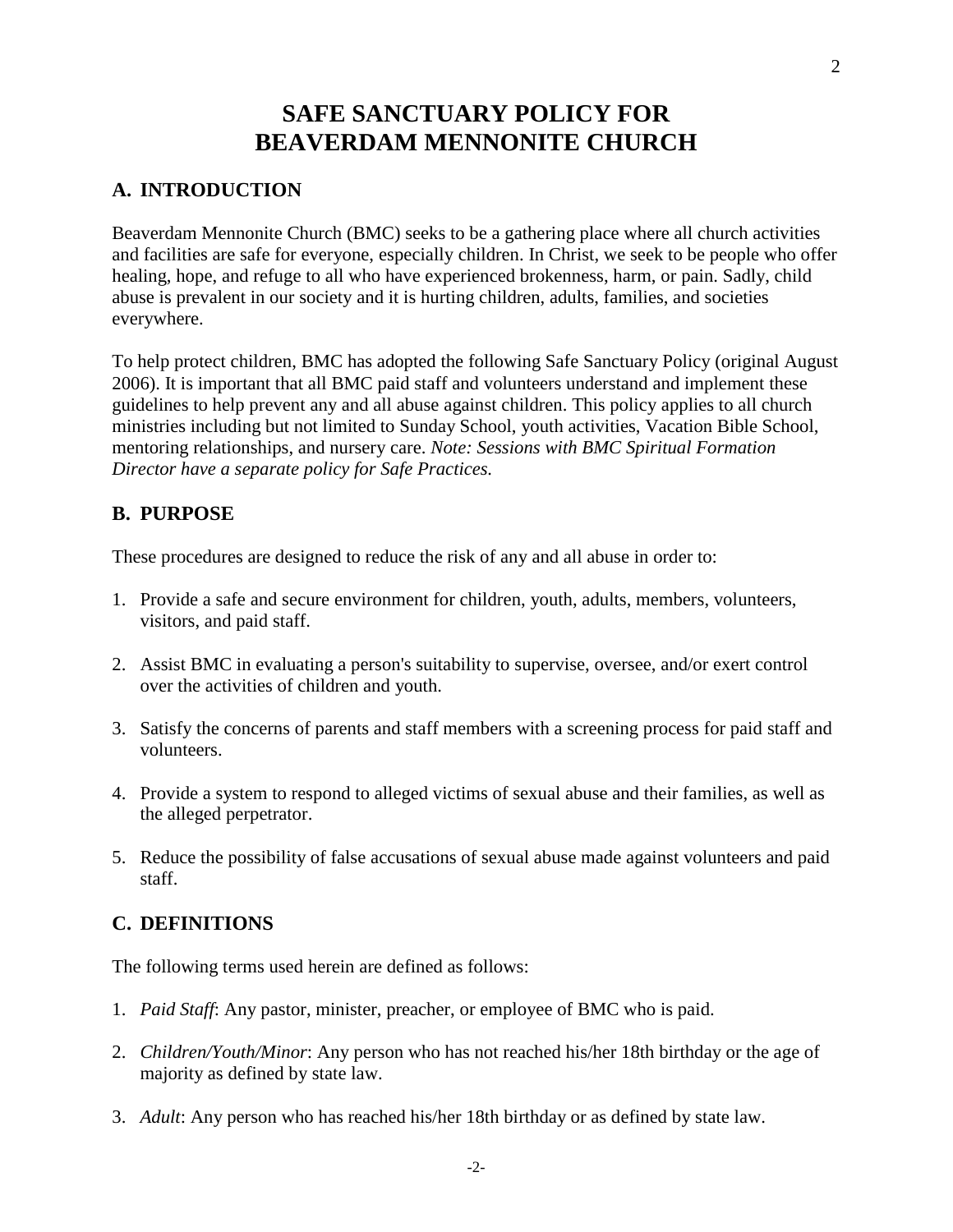## **SAFE SANCTUARY POLICY FOR BEAVERDAM MENNONITE CHURCH**

## **A. INTRODUCTION**

Beaverdam Mennonite Church (BMC) seeks to be a gathering place where all church activities and facilities are safe for everyone, especially children. In Christ, we seek to be people who offer healing, hope, and refuge to all who have experienced brokenness, harm, or pain. Sadly, child abuse is prevalent in our society and it is hurting children, adults, families, and societies everywhere.

To help protect children, BMC has adopted the following Safe Sanctuary Policy (original August 2006). It is important that all BMC paid staff and volunteers understand and implement these guidelines to help prevent any and all abuse against children. This policy applies to all church ministries including but not limited to Sunday School, youth activities, Vacation Bible School, mentoring relationships, and nursery care. *Note: Sessions with BMC Spiritual Formation Director have a separate policy for Safe Practices.*

### **B. PURPOSE**

These procedures are designed to reduce the risk of any and all abuse in order to:

- 1. Provide a safe and secure environment for children, youth, adults, members, volunteers, visitors, and paid staff.
- 2. Assist BMC in evaluating a person's suitability to supervise, oversee, and/or exert control over the activities of children and youth.
- 3. Satisfy the concerns of parents and staff members with a screening process for paid staff and volunteers.
- 4. Provide a system to respond to alleged victims of sexual abuse and their families, as well as the alleged perpetrator.
- 5. Reduce the possibility of false accusations of sexual abuse made against volunteers and paid staff.

### **C. DEFINITIONS**

The following terms used herein are defined as follows:

- 1. *Paid Staff*: Any pastor, minister, preacher, or employee of BMC who is paid.
- 2. *Children/Youth/Minor*: Any person who has not reached his/her 18th birthday or the age of majority as defined by state law.
- 3. *Adult*: Any person who has reached his/her 18th birthday or as defined by state law.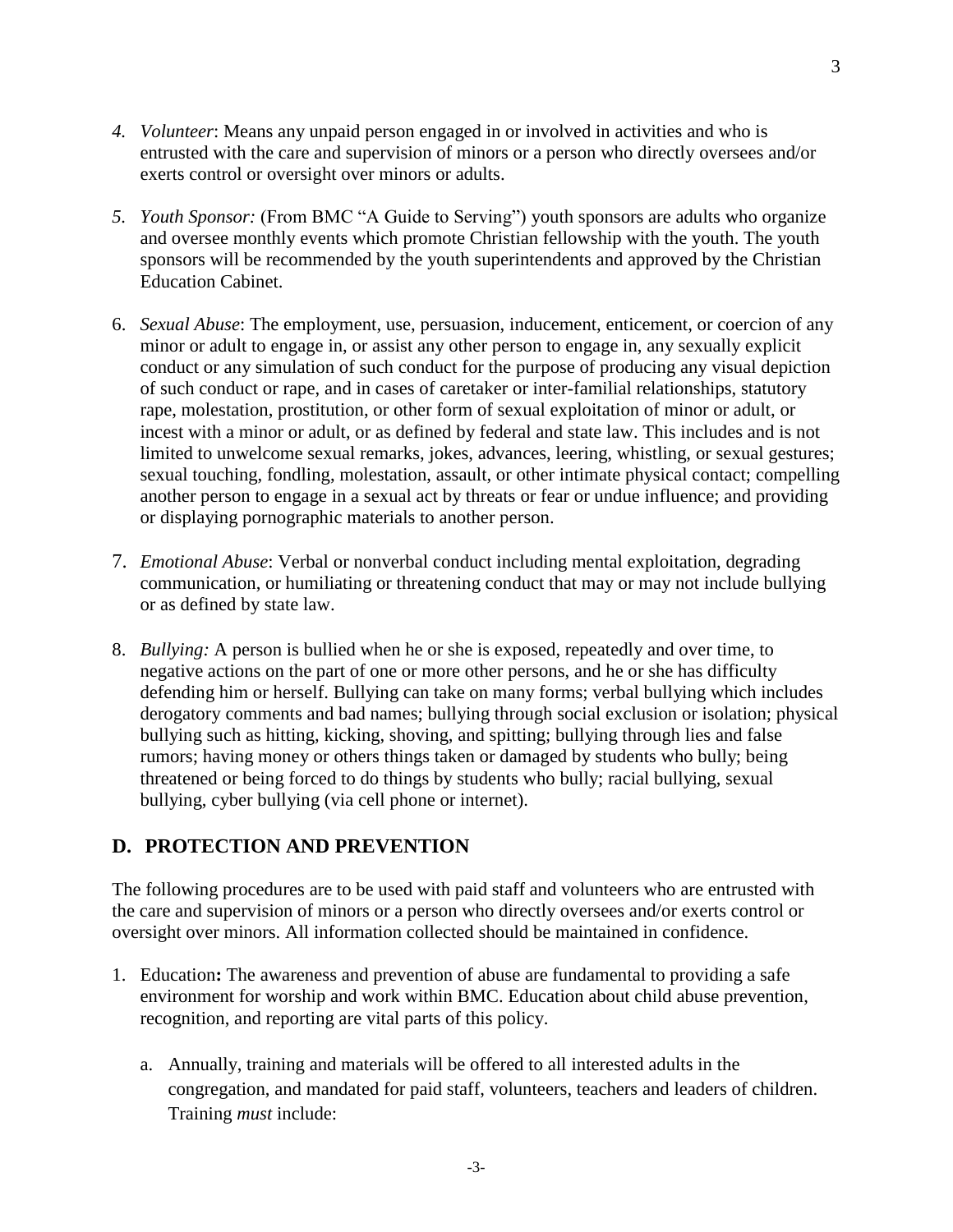- *4. Volunteer*: Means any unpaid person engaged in or involved in activities and who is entrusted with the care and supervision of minors or a person who directly oversees and/or exerts control or oversight over minors or adults.
- *5. Youth Sponsor:* (From BMC "A Guide to Serving") youth sponsors are adults who organize and oversee monthly events which promote Christian fellowship with the youth. The youth sponsors will be recommended by the youth superintendents and approved by the Christian Education Cabinet.
- 6. *Sexual Abuse*: The employment, use, persuasion, inducement, enticement, or coercion of any minor or adult to engage in, or assist any other person to engage in, any sexually explicit conduct or any simulation of such conduct for the purpose of producing any visual depiction of such conduct or rape, and in cases of caretaker or inter-familial relationships, statutory rape, molestation, prostitution, or other form of sexual exploitation of minor or adult, or incest with a minor or adult, or as defined by federal and state law. This includes and is not limited to unwelcome sexual remarks, jokes, advances, leering, whistling, or sexual gestures; sexual touching, fondling, molestation, assault, or other intimate physical contact; compelling another person to engage in a sexual act by threats or fear or undue influence; and providing or displaying pornographic materials to another person.
- 7. *Emotional Abuse*: Verbal or nonverbal conduct including mental exploitation, degrading communication, or humiliating or threatening conduct that may or may not include bullying or as defined by state law.
- 8. *Bullying:* A person is bullied when he or she is exposed, repeatedly and over time, to negative actions on the part of one or more other persons, and he or she has difficulty defending him or herself. Bullying can take on many forms; verbal bullying which includes derogatory comments and bad names; bullying through social exclusion or isolation; physical bullying such as hitting, kicking, shoving, and spitting; bullying through lies and false rumors; having money or others things taken or damaged by students who bully; being threatened or being forced to do things by students who bully; racial bullying, sexual bullying, cyber bullying (via cell phone or internet).

## **D. PROTECTION AND PREVENTION**

The following procedures are to be used with paid staff and volunteers who are entrusted with the care and supervision of minors or a person who directly oversees and/or exerts control or oversight over minors. All information collected should be maintained in confidence.

- 1. Education**:** The awareness and prevention of abuse are fundamental to providing a safe environment for worship and work within BMC. Education about child abuse prevention, recognition, and reporting are vital parts of this policy.
	- a. Annually, training and materials will be offered to all interested adults in the congregation, and mandated for paid staff, volunteers, teachers and leaders of children. Training *must* include: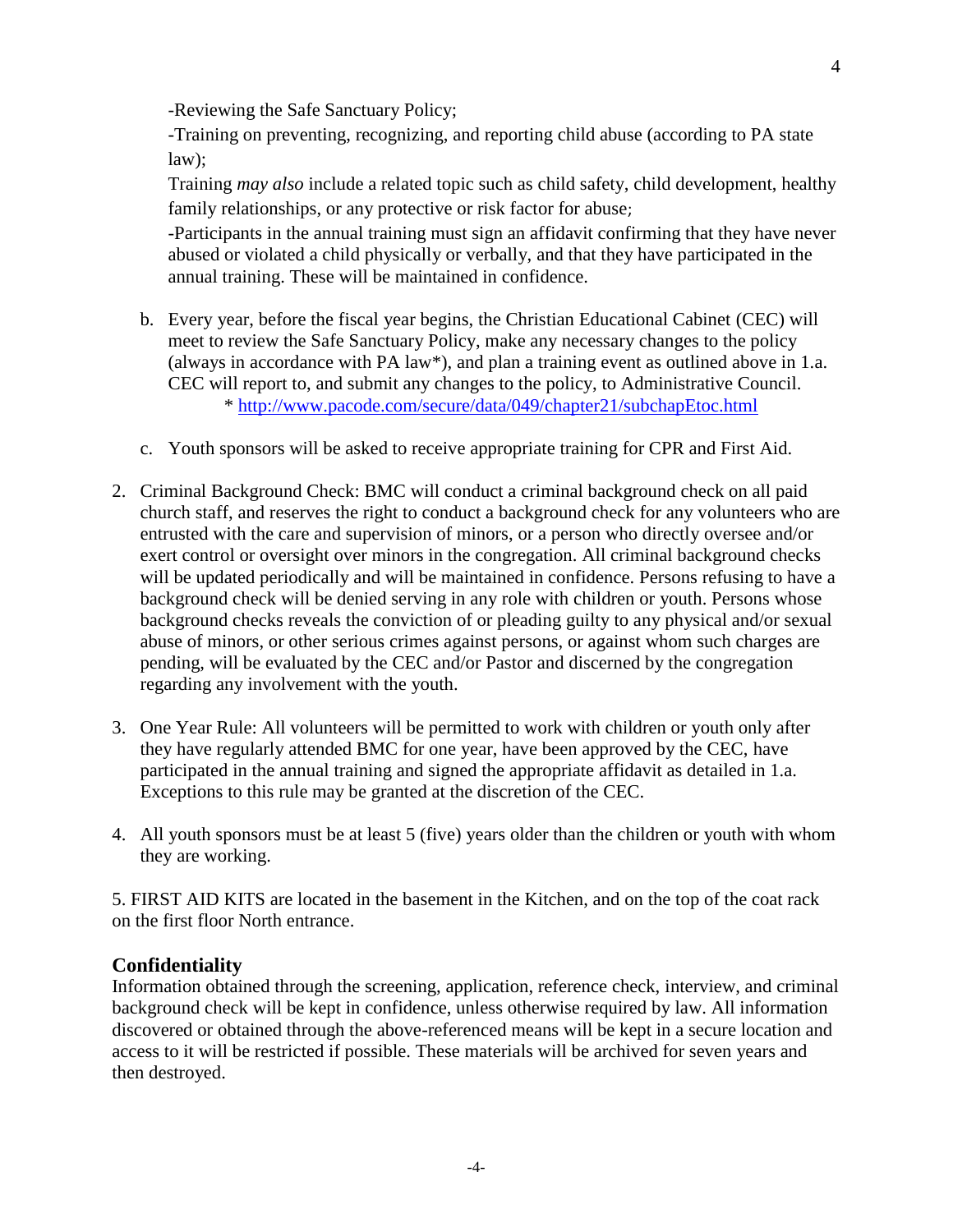-Reviewing the Safe Sanctuary Policy;

-Training on preventing, recognizing, and reporting child abuse (according to PA state law);

Training *may also* include a related topic such as child safety, child development, healthy family relationships, or any protective or risk factor for abuse;

-Participants in the annual training must sign an affidavit confirming that they have never abused or violated a child physically or verbally, and that they have participated in the annual training. These will be maintained in confidence.

- b. Every year, before the fiscal year begins, the Christian Educational Cabinet (CEC) will meet to review the Safe Sanctuary Policy, make any necessary changes to the policy (always in accordance with PA law\*), and plan a training event as outlined above in 1.a. CEC will report to, and submit any changes to the policy, to Administrative Council. \* <http://www.pacode.com/secure/data/049/chapter21/subchapEtoc.html>
- c. Youth sponsors will be asked to receive appropriate training for CPR and First Aid.
- 2. Criminal Background Check: BMC will conduct a criminal background check on all paid church staff, and reserves the right to conduct a background check for any volunteers who are entrusted with the care and supervision of minors, or a person who directly oversee and/or exert control or oversight over minors in the congregation. All criminal background checks will be updated periodically and will be maintained in confidence. Persons refusing to have a background check will be denied serving in any role with children or youth. Persons whose background checks reveals the conviction of or pleading guilty to any physical and/or sexual abuse of minors, or other serious crimes against persons, or against whom such charges are pending, will be evaluated by the CEC and/or Pastor and discerned by the congregation regarding any involvement with the youth.
- 3. One Year Rule: All volunteers will be permitted to work with children or youth only after they have regularly attended BMC for one year, have been approved by the CEC, have participated in the annual training and signed the appropriate affidavit as detailed in 1.a. Exceptions to this rule may be granted at the discretion of the CEC.
- 4. All youth sponsors must be at least 5 (five) years older than the children or youth with whom they are working.

5. FIRST AID KITS are located in the basement in the Kitchen, and on the top of the coat rack on the first floor North entrance.

### **Confidentiality**

Information obtained through the screening, application, reference check, interview, and criminal background check will be kept in confidence, unless otherwise required by law. All information discovered or obtained through the above-referenced means will be kept in a secure location and access to it will be restricted if possible. These materials will be archived for seven years and then destroyed.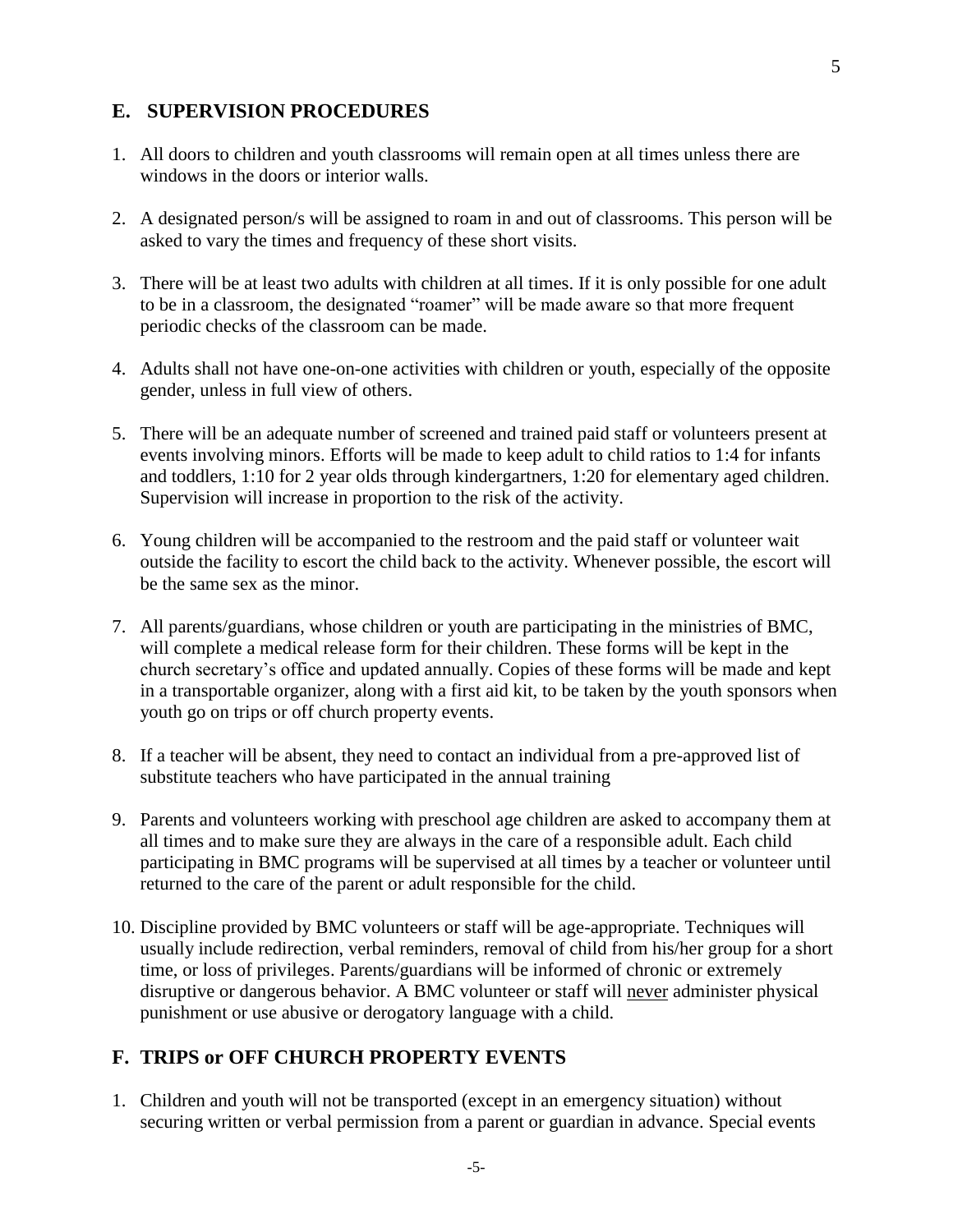### **E. SUPERVISION PROCEDURES**

- 1. All doors to children and youth classrooms will remain open at all times unless there are windows in the doors or interior walls.
- 2. A designated person/s will be assigned to roam in and out of classrooms. This person will be asked to vary the times and frequency of these short visits.
- 3. There will be at least two adults with children at all times. If it is only possible for one adult to be in a classroom, the designated "roamer" will be made aware so that more frequent periodic checks of the classroom can be made.
- 4. Adults shall not have one-on-one activities with children or youth, especially of the opposite gender, unless in full view of others.
- 5. There will be an adequate number of screened and trained paid staff or volunteers present at events involving minors. Efforts will be made to keep adult to child ratios to 1:4 for infants and toddlers, 1:10 for 2 year olds through kindergartners, 1:20 for elementary aged children. Supervision will increase in proportion to the risk of the activity.
- 6. Young children will be accompanied to the restroom and the paid staff or volunteer wait outside the facility to escort the child back to the activity. Whenever possible, the escort will be the same sex as the minor.
- 7. All parents/guardians, whose children or youth are participating in the ministries of BMC, will complete a medical release form for their children. These forms will be kept in the church secretary's office and updated annually. Copies of these forms will be made and kept in a transportable organizer, along with a first aid kit, to be taken by the youth sponsors when youth go on trips or off church property events.
- 8. If a teacher will be absent, they need to contact an individual from a pre-approved list of substitute teachers who have participated in the annual training
- 9. Parents and volunteers working with preschool age children are asked to accompany them at all times and to make sure they are always in the care of a responsible adult. Each child participating in BMC programs will be supervised at all times by a teacher or volunteer until returned to the care of the parent or adult responsible for the child.
- 10. Discipline provided by BMC volunteers or staff will be age-appropriate. Techniques will usually include redirection, verbal reminders, removal of child from his/her group for a short time, or loss of privileges. Parents/guardians will be informed of chronic or extremely disruptive or dangerous behavior. A BMC volunteer or staff will never administer physical punishment or use abusive or derogatory language with a child.

### **F. TRIPS or OFF CHURCH PROPERTY EVENTS**

1. Children and youth will not be transported (except in an emergency situation) without securing written or verbal permission from a parent or guardian in advance. Special events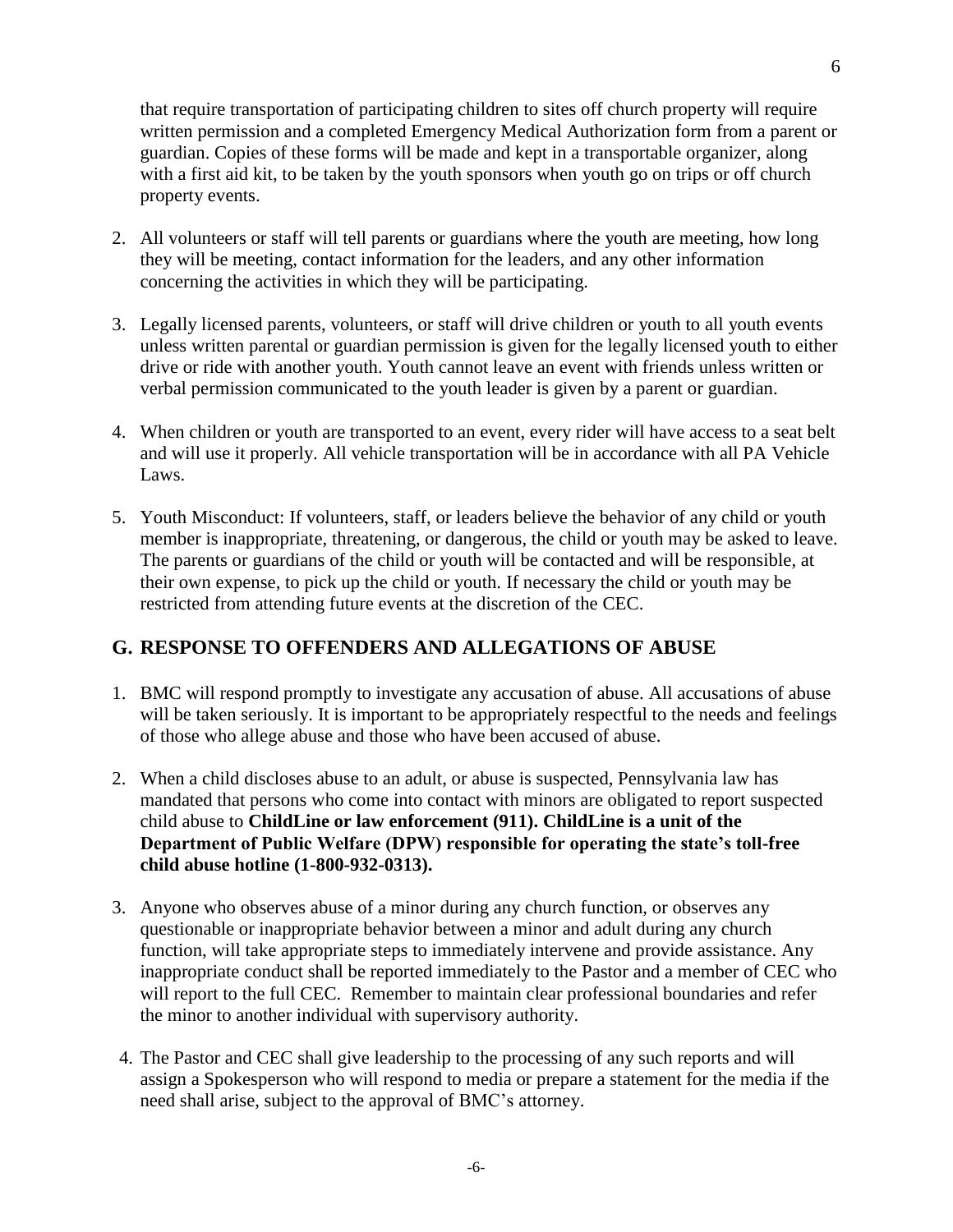that require transportation of participating children to sites off church property will require written permission and a completed Emergency Medical Authorization form from a parent or guardian. Copies of these forms will be made and kept in a transportable organizer, along with a first aid kit, to be taken by the youth sponsors when youth go on trips or off church property events.

- 2. All volunteers or staff will tell parents or guardians where the youth are meeting, how long they will be meeting, contact information for the leaders, and any other information concerning the activities in which they will be participating.
- 3. Legally licensed parents, volunteers, or staff will drive children or youth to all youth events unless written parental or guardian permission is given for the legally licensed youth to either drive or ride with another youth. Youth cannot leave an event with friends unless written or verbal permission communicated to the youth leader is given by a parent or guardian.
- 4. When children or youth are transported to an event, every rider will have access to a seat belt and will use it properly. All vehicle transportation will be in accordance with all PA Vehicle Laws.
- 5. Youth Misconduct: If volunteers, staff, or leaders believe the behavior of any child or youth member is inappropriate, threatening, or dangerous, the child or youth may be asked to leave. The parents or guardians of the child or youth will be contacted and will be responsible, at their own expense, to pick up the child or youth. If necessary the child or youth may be restricted from attending future events at the discretion of the CEC.

## **G. RESPONSE TO OFFENDERS AND ALLEGATIONS OF ABUSE**

- 1. BMC will respond promptly to investigate any accusation of abuse. All accusations of abuse will be taken seriously. It is important to be appropriately respectful to the needs and feelings of those who allege abuse and those who have been accused of abuse.
- 2. When a child discloses abuse to an adult, or abuse is suspected, Pennsylvania law has mandated that persons who come into contact with minors are obligated to report suspected child abuse to **ChildLine or law enforcement (911). ChildLine is a unit of the Department of Public Welfare (DPW) responsible for operating the state's toll-free child abuse hotline (1-800-932-0313).**
- 3. Anyone who observes abuse of a minor during any church function, or observes any questionable or inappropriate behavior between a minor and adult during any church function, will take appropriate steps to immediately intervene and provide assistance. Any inappropriate conduct shall be reported immediately to the Pastor and a member of CEC who will report to the full CEC. Remember to maintain clear professional boundaries and refer the minor to another individual with supervisory authority.
- 4. The Pastor and CEC shall give leadership to the processing of any such reports and will assign a Spokesperson who will respond to media or prepare a statement for the media if the need shall arise, subject to the approval of BMC's attorney.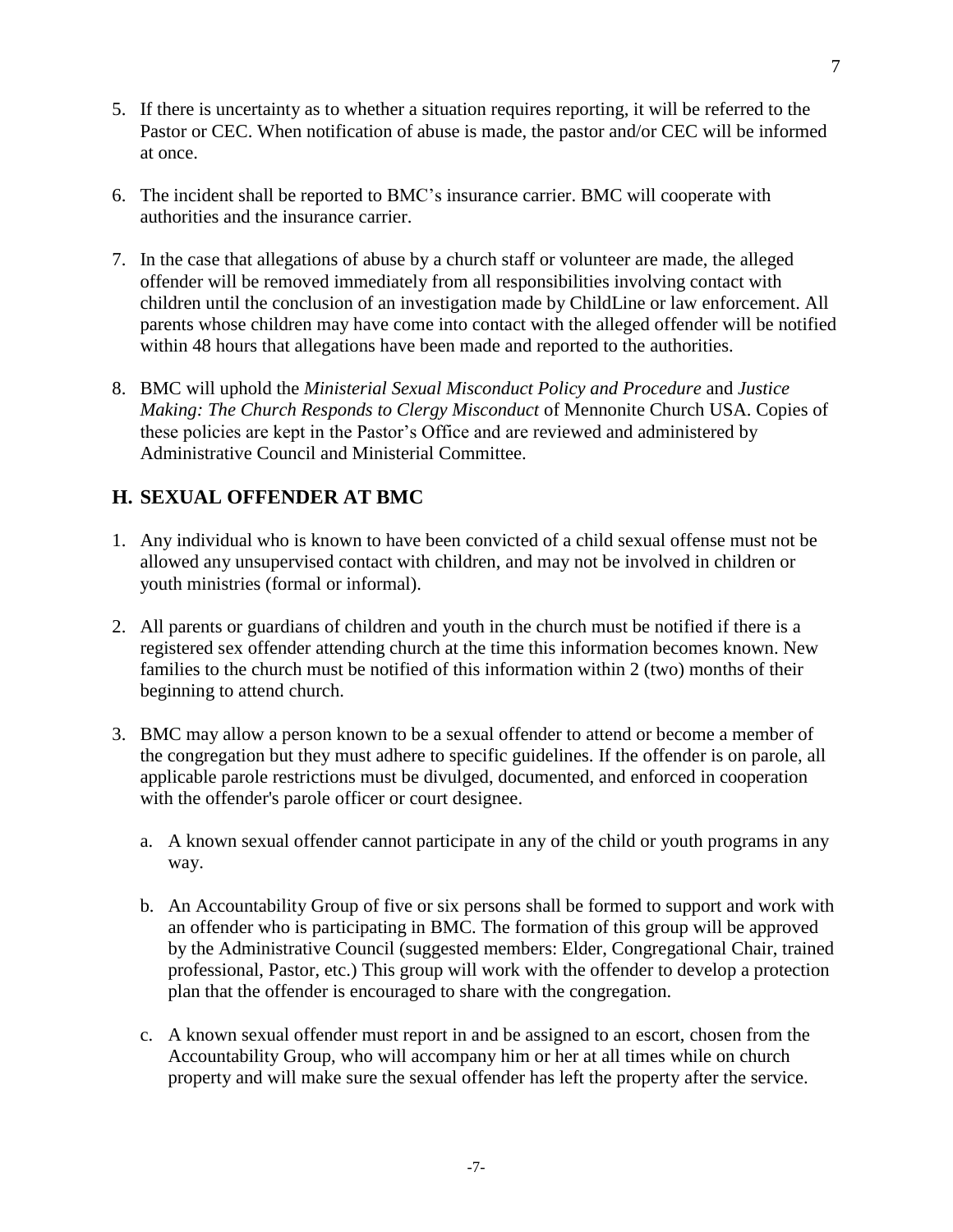- 5. If there is uncertainty as to whether a situation requires reporting, it will be referred to the Pastor or CEC. When notification of abuse is made, the pastor and/or CEC will be informed at once.
- 6. The incident shall be reported to BMC's insurance carrier. BMC will cooperate with authorities and the insurance carrier.
- 7. In the case that allegations of abuse by a church staff or volunteer are made, the alleged offender will be removed immediately from all responsibilities involving contact with children until the conclusion of an investigation made by ChildLine or law enforcement. All parents whose children may have come into contact with the alleged offender will be notified within 48 hours that allegations have been made and reported to the authorities.
- 8. BMC will uphold the *Ministerial Sexual Misconduct Policy and Procedure* and *Justice Making: The Church Responds to Clergy Misconduct* of Mennonite Church USA. Copies of these policies are kept in the Pastor's Office and are reviewed and administered by Administrative Council and Ministerial Committee.

## **H. SEXUAL OFFENDER AT BMC**

- 1. Any individual who is known to have been convicted of a child sexual offense must not be allowed any unsupervised contact with children, and may not be involved in children or youth ministries (formal or informal).
- 2. All parents or guardians of children and youth in the church must be notified if there is a registered sex offender attending church at the time this information becomes known. New families to the church must be notified of this information within 2 (two) months of their beginning to attend church.
- 3. BMC may allow a person known to be a sexual offender to attend or become a member of the congregation but they must adhere to specific guidelines. If the offender is on parole, all applicable parole restrictions must be divulged, documented, and enforced in cooperation with the offender's parole officer or court designee.
	- a. A known sexual offender cannot participate in any of the child or youth programs in any way.
	- b. An Accountability Group of five or six persons shall be formed to support and work with an offender who is participating in BMC. The formation of this group will be approved by the Administrative Council (suggested members: Elder, Congregational Chair, trained professional, Pastor, etc.) This group will work with the offender to develop a protection plan that the offender is encouraged to share with the congregation.
	- c. A known sexual offender must report in and be assigned to an escort, chosen from the Accountability Group, who will accompany him or her at all times while on church property and will make sure the sexual offender has left the property after the service.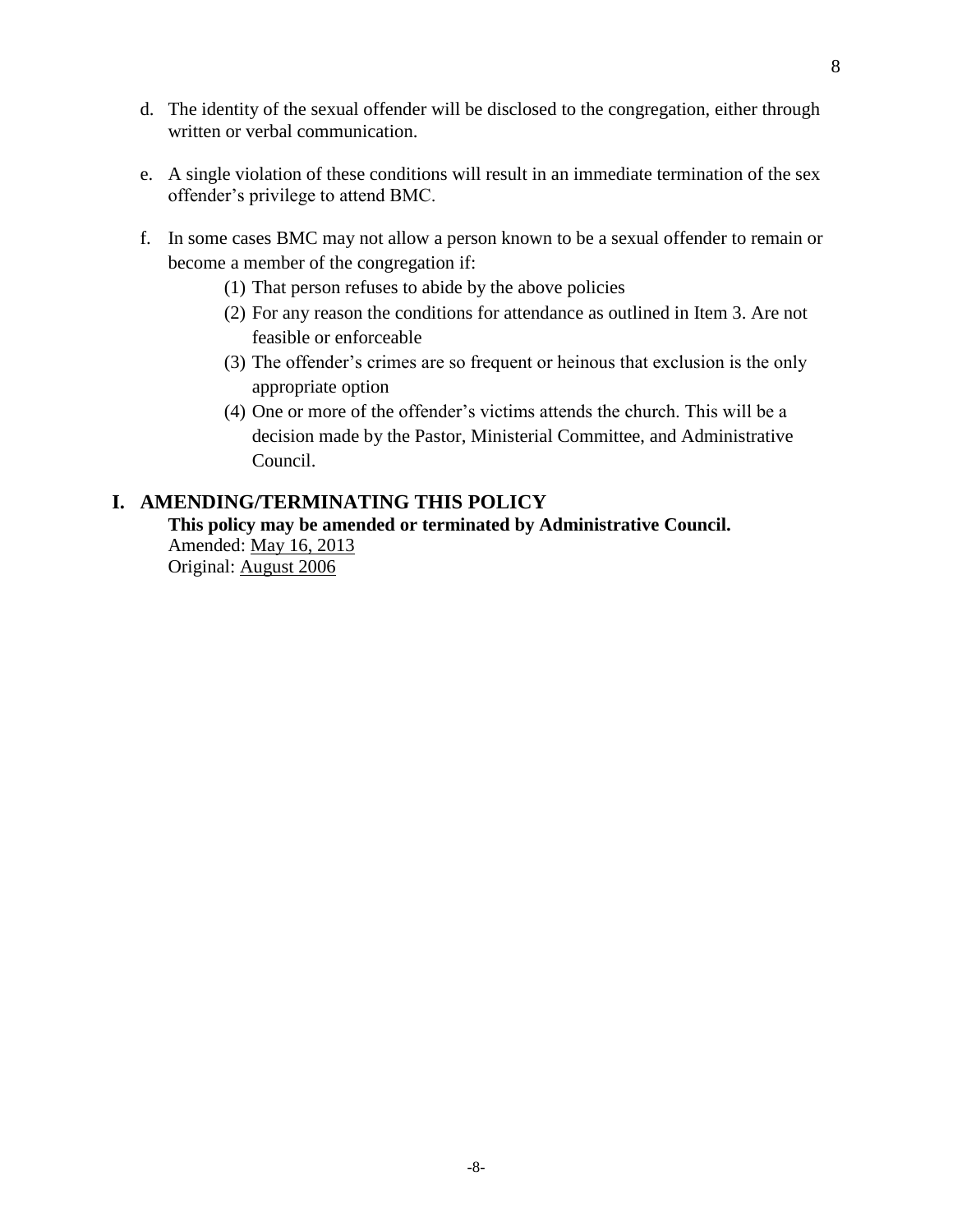- d. The identity of the sexual offender will be disclosed to the congregation, either through written or verbal communication.
- e. A single violation of these conditions will result in an immediate termination of the sex offender's privilege to attend BMC.
- f. In some cases BMC may not allow a person known to be a sexual offender to remain or become a member of the congregation if:
	- (1) That person refuses to abide by the above policies
	- (2) For any reason the conditions for attendance as outlined in Item 3. Are not feasible or enforceable
	- (3) The offender's crimes are so frequent or heinous that exclusion is the only appropriate option
	- (4) One or more of the offender's victims attends the church. This will be a decision made by the Pastor, Ministerial Committee, and Administrative Council.

## **I. AMENDING/TERMINATING THIS POLICY**

### **This policy may be amended or terminated by Administrative Council.**

Amended: May 16, 2013 Original: August 2006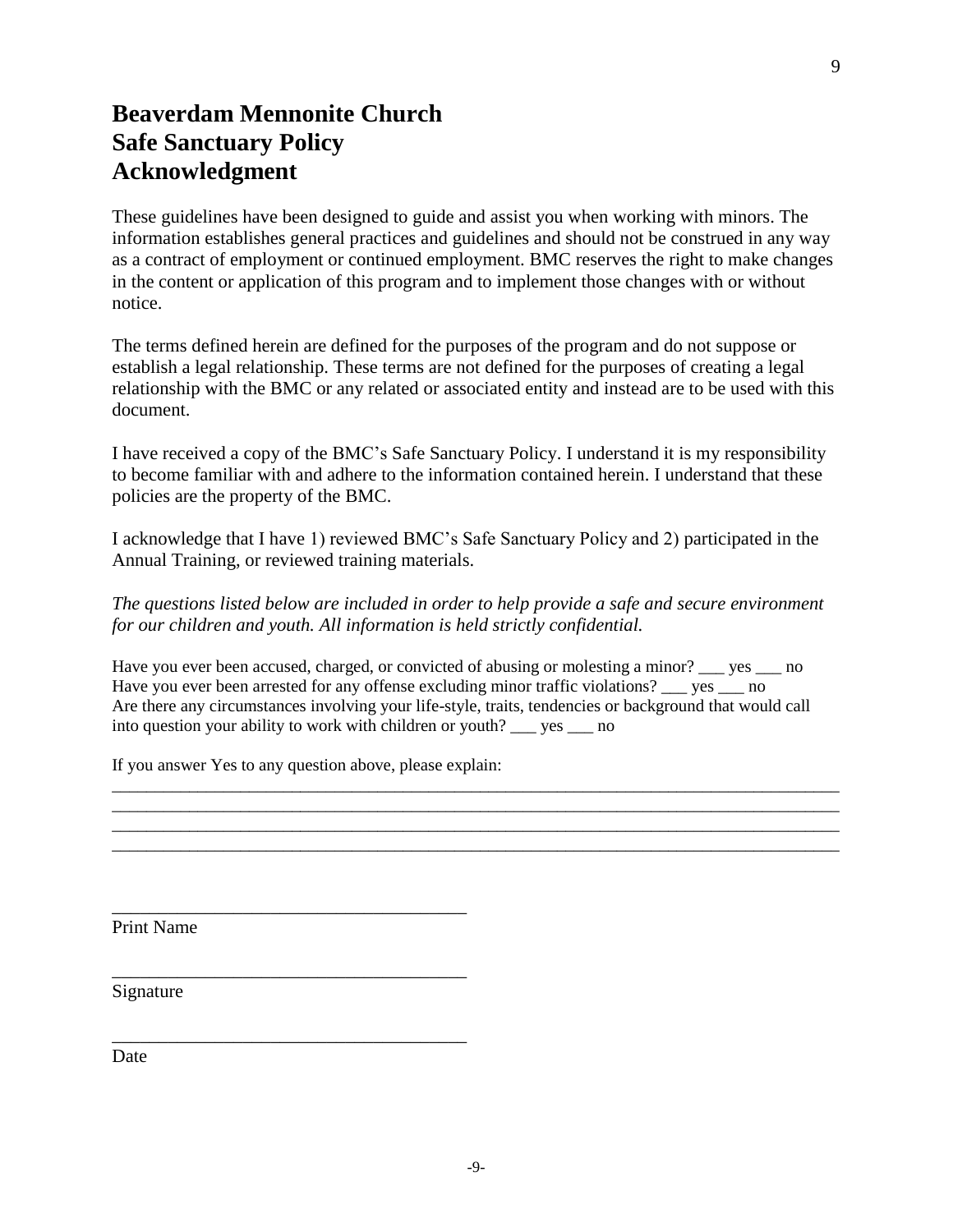## **Beaverdam Mennonite Church Safe Sanctuary Policy Acknowledgment**

These guidelines have been designed to guide and assist you when working with minors. The information establishes general practices and guidelines and should not be construed in any way as a contract of employment or continued employment. BMC reserves the right to make changes in the content or application of this program and to implement those changes with or without notice.

The terms defined herein are defined for the purposes of the program and do not suppose or establish a legal relationship. These terms are not defined for the purposes of creating a legal relationship with the BMC or any related or associated entity and instead are to be used with this document.

I have received a copy of the BMC's Safe Sanctuary Policy. I understand it is my responsibility to become familiar with and adhere to the information contained herein. I understand that these policies are the property of the BMC.

I acknowledge that I have 1) reviewed BMC's Safe Sanctuary Policy and 2) participated in the Annual Training, or reviewed training materials.

*The questions listed below are included in order to help provide a safe and secure environment for our children and youth. All information is held strictly confidential.*

Have you ever been accused, charged, or convicted of abusing or molesting a minor? \_\_\_ yes \_\_\_ no Have you ever been arrested for any offense excluding minor traffic violations? ves no Are there any circumstances involving your life-style, traits, tendencies or background that would call into question your ability to work with children or youth? \_\_\_ yes \_\_\_ no

\_\_\_\_\_\_\_\_\_\_\_\_\_\_\_\_\_\_\_\_\_\_\_\_\_\_\_\_\_\_\_\_\_\_\_\_\_\_\_\_\_\_\_\_\_\_\_\_\_\_\_\_\_\_\_\_\_\_\_\_\_\_\_\_\_\_\_\_\_\_\_\_\_\_\_\_\_\_\_\_\_\_\_\_\_ \_\_\_\_\_\_\_\_\_\_\_\_\_\_\_\_\_\_\_\_\_\_\_\_\_\_\_\_\_\_\_\_\_\_\_\_\_\_\_\_\_\_\_\_\_\_\_\_\_\_\_\_\_\_\_\_\_\_\_\_\_\_\_\_\_\_\_\_\_\_\_\_\_\_\_\_\_\_\_\_\_\_\_\_\_ \_\_\_\_\_\_\_\_\_\_\_\_\_\_\_\_\_\_\_\_\_\_\_\_\_\_\_\_\_\_\_\_\_\_\_\_\_\_\_\_\_\_\_\_\_\_\_\_\_\_\_\_\_\_\_\_\_\_\_\_\_\_\_\_\_\_\_\_\_\_\_\_\_\_\_\_\_\_\_\_\_\_\_\_\_ \_\_\_\_\_\_\_\_\_\_\_\_\_\_\_\_\_\_\_\_\_\_\_\_\_\_\_\_\_\_\_\_\_\_\_\_\_\_\_\_\_\_\_\_\_\_\_\_\_\_\_\_\_\_\_\_\_\_\_\_\_\_\_\_\_\_\_\_\_\_\_\_\_\_\_\_\_\_\_\_\_\_\_\_\_

If you answer Yes to any question above, please explain:

\_\_\_\_\_\_\_\_\_\_\_\_\_\_\_\_\_\_\_\_\_\_\_\_\_\_\_\_\_\_\_\_\_\_\_\_\_\_

\_\_\_\_\_\_\_\_\_\_\_\_\_\_\_\_\_\_\_\_\_\_\_\_\_\_\_\_\_\_\_\_\_\_\_\_\_\_

\_\_\_\_\_\_\_\_\_\_\_\_\_\_\_\_\_\_\_\_\_\_\_\_\_\_\_\_\_\_\_\_\_\_\_\_\_\_

Print Name

Signature

**Date**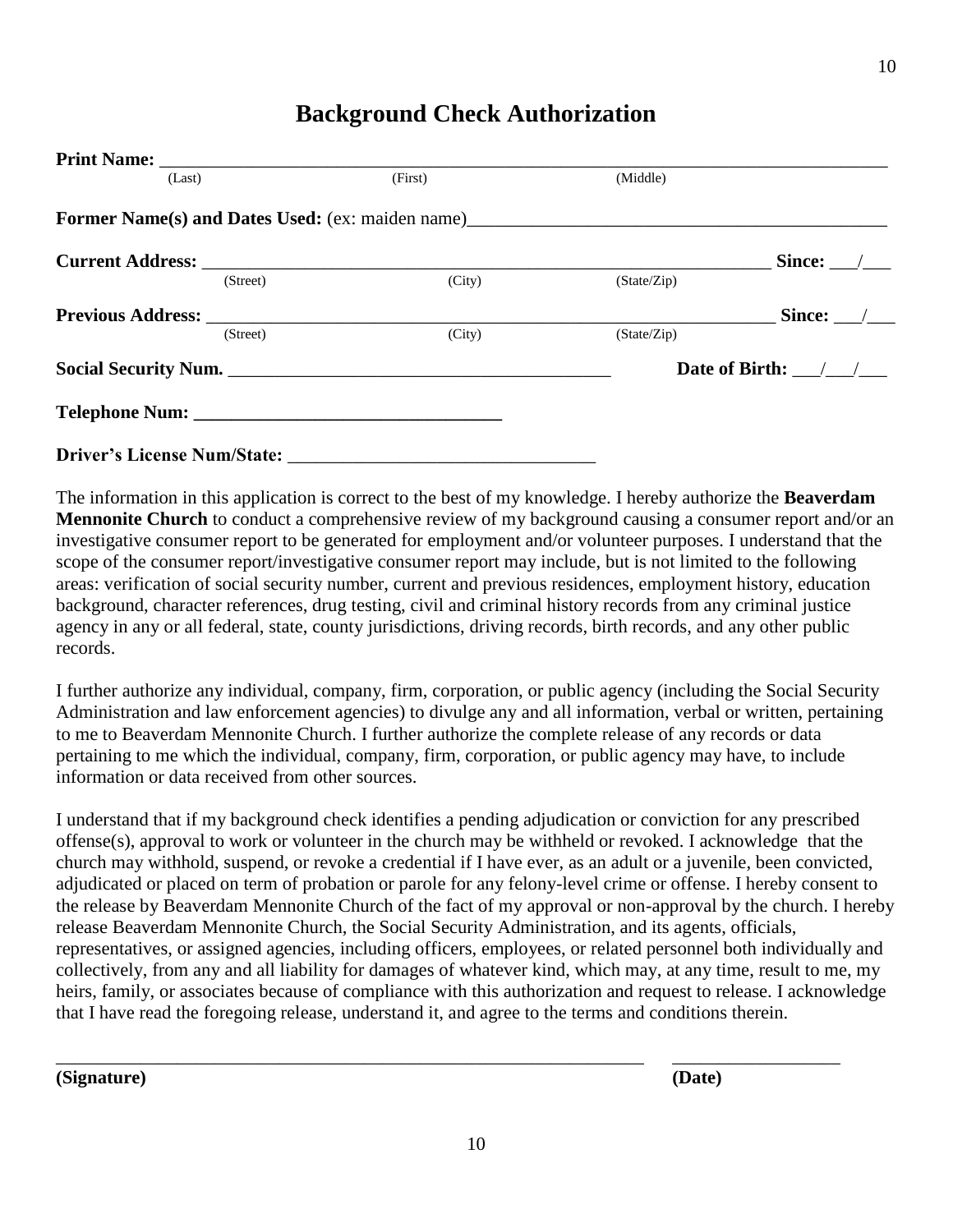## **Background Check Authorization**

|                      | (Last)   | (First)                                                 | (Middle)    |                              |
|----------------------|----------|---------------------------------------------------------|-------------|------------------------------|
|                      |          | <b>Former Name(s) and Dates Used:</b> (ex: maiden name) |             |                              |
|                      |          |                                                         |             | Since:                       |
|                      | (Street) | (City)                                                  | (State/Zip) |                              |
|                      |          |                                                         |             | Since: $\_\_\_\_\_\_\_\_\_\$ |
|                      | (Street) | (City)                                                  | (State/Zip) |                              |
| Social Security Num. |          |                                                         |             | Date of Birth: $\frac{1}{2}$ |
|                      |          |                                                         |             |                              |
|                      |          |                                                         |             |                              |

The information in this application is correct to the best of my knowledge. I hereby authorize the **Beaverdam Mennonite Church** to conduct a comprehensive review of my background causing a consumer report and/or an investigative consumer report to be generated for employment and/or volunteer purposes. I understand that the scope of the consumer report/investigative consumer report may include, but is not limited to the following areas: verification of social security number, current and previous residences, employment history, education background, character references, drug testing, civil and criminal history records from any criminal justice agency in any or all federal, state, county jurisdictions, driving records, birth records, and any other public records.

I further authorize any individual, company, firm, corporation, or public agency (including the Social Security Administration and law enforcement agencies) to divulge any and all information, verbal or written, pertaining to me to Beaverdam Mennonite Church. I further authorize the complete release of any records or data pertaining to me which the individual, company, firm, corporation, or public agency may have, to include information or data received from other sources.

I understand that if my background check identifies a pending adjudication or conviction for any prescribed offense(s), approval to work or volunteer in the church may be withheld or revoked. I acknowledge that the church may withhold, suspend, or revoke a credential if I have ever, as an adult or a juvenile, been convicted, adjudicated or placed on term of probation or parole for any felony-level crime or offense. I hereby consent to the release by Beaverdam Mennonite Church of the fact of my approval or non-approval by the church. I hereby release Beaverdam Mennonite Church, the Social Security Administration, and its agents, officials, representatives, or assigned agencies, including officers, employees, or related personnel both individually and collectively, from any and all liability for damages of whatever kind, which may, at any time, result to me, my heirs, family, or associates because of compliance with this authorization and request to release. I acknowledge that I have read the foregoing release, understand it, and agree to the terms and conditions therein.

**(Signature) (Date)**

\_\_\_\_\_\_\_\_\_\_\_\_\_\_\_\_\_\_\_\_\_\_\_\_\_\_\_\_\_\_\_\_\_\_\_\_\_\_\_\_\_\_\_\_\_\_\_\_\_\_\_\_\_\_\_\_\_\_\_\_\_\_\_ \_\_\_\_\_\_\_\_\_\_\_\_\_\_\_\_\_\_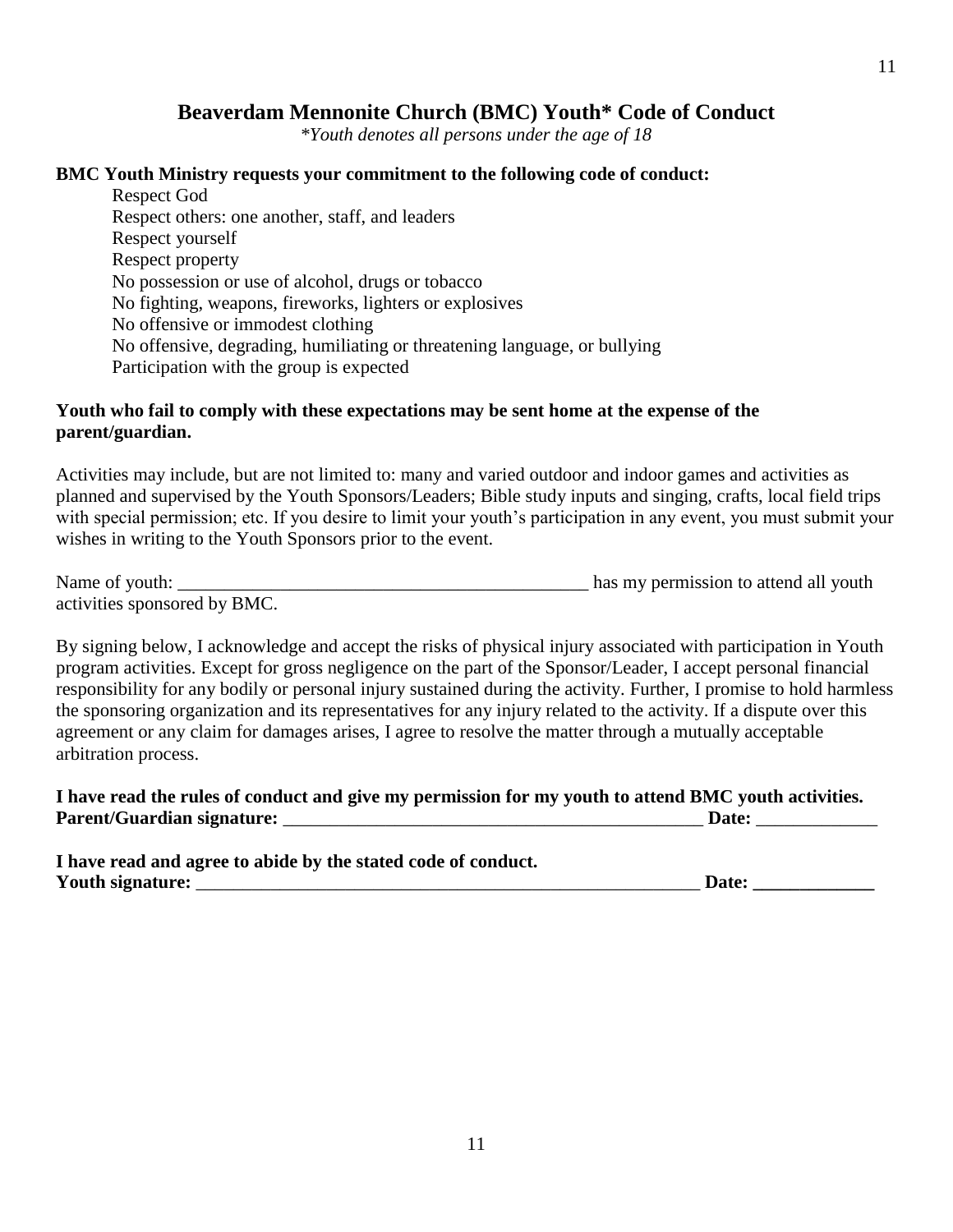## **Beaverdam Mennonite Church (BMC) Youth\* Code of Conduct**

*\*Youth denotes all persons under the age of 18*

### **BMC Youth Ministry requests your commitment to the following code of conduct:**

Respect God Respect others: one another, staff, and leaders Respect yourself Respect property No possession or use of alcohol, drugs or tobacco No fighting, weapons, fireworks, lighters or explosives No offensive or immodest clothing No offensive, degrading, humiliating or threatening language, or bullying Participation with the group is expected

### **Youth who fail to comply with these expectations may be sent home at the expense of the parent/guardian.**

Activities may include, but are not limited to: many and varied outdoor and indoor games and activities as planned and supervised by the Youth Sponsors/Leaders; Bible study inputs and singing, crafts, local field trips with special permission; etc. If you desire to limit your youth's participation in any event, you must submit your wishes in writing to the Youth Sponsors prior to the event.

| Name of youth:               | has my permission to attend all youth |  |  |
|------------------------------|---------------------------------------|--|--|
| activities sponsored by BMC. |                                       |  |  |

By signing below, I acknowledge and accept the risks of physical injury associated with participation in Youth program activities. Except for gross negligence on the part of the Sponsor/Leader, I accept personal financial responsibility for any bodily or personal injury sustained during the activity. Further, I promise to hold harmless the sponsoring organization and its representatives for any injury related to the activity. If a dispute over this agreement or any claim for damages arises, I agree to resolve the matter through a mutually acceptable arbitration process.

**I have read the rules of conduct and give my permission for my youth to attend BMC youth activities. Parent/Guardian signature:** \_\_\_\_\_\_\_\_\_\_\_\_\_\_\_\_\_\_\_\_\_\_\_\_\_\_\_\_\_\_\_\_\_\_\_\_\_\_\_\_\_\_\_\_\_ **Date:** \_\_\_\_\_\_\_\_\_\_\_\_\_

| I have read and agree to abide by the stated code of conduct. |       |
|---------------------------------------------------------------|-------|
| Youth signature:                                              | Date: |

11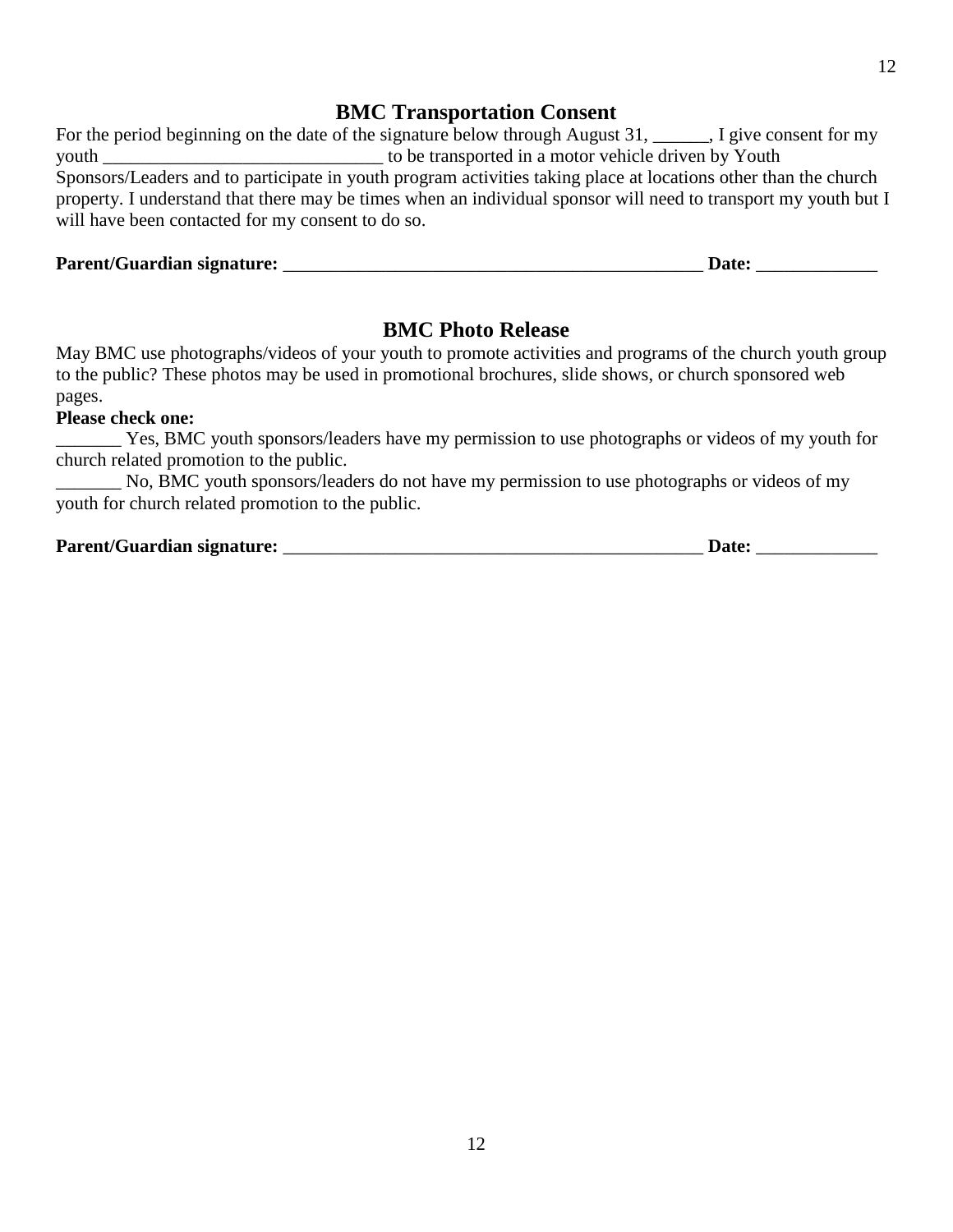## **BMC Transportation Consent**

|                                                                                                                 | For the period beginning on the date of the signature below through August $31,$ , $\Box$ , I give consent for my |  |  |  |
|-----------------------------------------------------------------------------------------------------------------|-------------------------------------------------------------------------------------------------------------------|--|--|--|
| youth                                                                                                           | to be transported in a motor vehicle driven by Youth                                                              |  |  |  |
|                                                                                                                 | Sponsors/Leaders and to participate in youth program activities taking place at locations other than the church   |  |  |  |
| property. I understand that there may be times when an individual sponsor will need to transport my youth but I |                                                                                                                   |  |  |  |
| will have been contacted for my consent to do so.                                                               |                                                                                                                   |  |  |  |
|                                                                                                                 |                                                                                                                   |  |  |  |

### **Parent/Guardian signature:** \_\_\_\_\_\_\_\_\_\_\_\_\_\_\_\_\_\_\_\_\_\_\_\_\_\_\_\_\_\_\_\_\_\_\_\_\_\_\_\_\_\_\_\_\_ **Date:** \_\_\_\_\_\_\_\_\_\_\_\_\_

### **BMC Photo Release**

May BMC use photographs/videos of your youth to promote activities and programs of the church youth group to the public? These photos may be used in promotional brochures, slide shows, or church sponsored web pages.

### **Please check one:**

\_\_\_\_\_\_\_ Yes, BMC youth sponsors/leaders have my permission to use photographs or videos of my youth for church related promotion to the public.

\_\_\_\_\_\_\_ No, BMC youth sponsors/leaders do not have my permission to use photographs or videos of my youth for church related promotion to the public.

### **Parent/Guardian signature:** \_\_\_\_\_\_\_\_\_\_\_\_\_\_\_\_\_\_\_\_\_\_\_\_\_\_\_\_\_\_\_\_\_\_\_\_\_\_\_\_\_\_\_\_\_ **Date:** \_\_\_\_\_\_\_\_\_\_\_\_\_